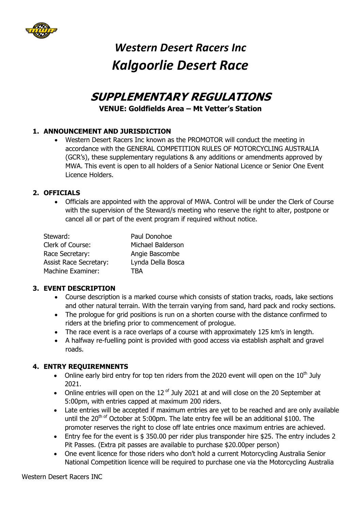

### **SUPPLEMENTARY REGULATIONS VENUE: Goldfields Area – Mt Vetter's Station**

#### **1. ANNOUNCEMENT AND JURISDICTION**

 Western Desert Racers Inc known as the PROMOTOR will conduct the meeting in accordance with the GENERAL COMPETITION RULES OF MOTORCYCLING AUSTRALIA (GCR's), these supplementary regulations & any additions or amendments approved by MWA. This event is open to all holders of a Senior National Licence or Senior One Event Licence Holders.

#### **2. OFFICIALS**

 Officials are appointed with the approval of MWA. Control will be under the Clerk of Course with the supervision of the Steward/s meeting who reserve the right to alter, postpone or cancel all or part of the event program if required without notice.

| Steward:                      | Paul Donohoe      |
|-------------------------------|-------------------|
| Clerk of Course:              | Michael Balderson |
| Race Secretary:               | Angie Bascombe    |
| <b>Assist Race Secretary:</b> | Lynda Della Bosca |
| <b>Machine Examiner:</b>      | TRA               |

#### **3. EVENT DESCRIPTION**

- Course description is a marked course which consists of station tracks, roads, lake sections and other natural terrain. With the terrain varying from sand, hard pack and rocky sections.
- The prologue for grid positions is run on a shorten course with the distance confirmed to riders at the briefing prior to commencement of prologue.
- The race event is a race overlaps of a course with approximately 125 km's in length.
- A halfway re-fuelling point is provided with good access via establish asphalt and gravel roads.

#### **4. ENTRY REQUIREMNENTS**

- Online early bird entry for top ten riders from the 2020 event will open on the  $10<sup>th</sup>$  July 2021.
- Online entries will open on the  $12 <sup>of</sup>$  July 2021 at and will close on the 20 September at 5:00pm, with entries capped at maximum 200 riders.
- Late entries will be accepted if maximum entries are yet to be reached and are only available until the  $20^{th}$  of October at 5:00pm. The late entry fee will be an additional \$100. The promoter reserves the right to close off late entries once maximum entries are achieved.
- Entry fee for the event is \$ 350.00 per rider plus transponder hire \$25. The entry includes 2 Pit Passes. (Extra pit passes are available to purchase \$20.00per person)
- One event licence for those riders who don't hold a current Motorcycling Australia Senior National Competition licence will be required to purchase one via the Motorcycling Australia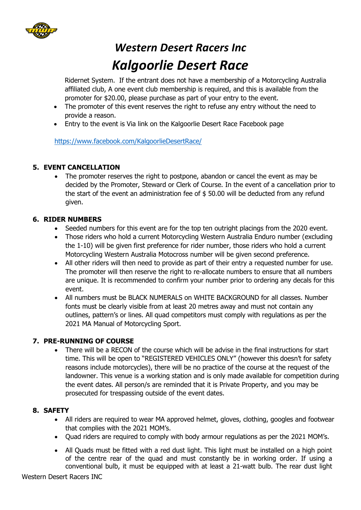

Ridernet System. If the entrant does not have a membership of a Motorcycling Australia affiliated club, A one event club membership is required, and this is available from the promoter for \$20.00, please purchase as part of your entry to the event.

- The promoter of this event reserves the right to refuse any entry without the need to provide a reason.
- Entry to the event is Via link on the Kalgoorlie Desert Race Facebook page

<https://www.facebook.com/KalgoorlieDesertRace/>

#### **5. EVENT CANCELLATION**

• The promoter reserves the right to postpone, abandon or cancel the event as may be decided by the Promoter, Steward or Clerk of Course. In the event of a cancellation prior to the start of the event an administration fee of \$ 50.00 will be deducted from any refund given.

#### **6. RIDER NUMBERS**

- Seeded numbers for this event are for the top ten outright placings from the 2020 event.
- Those riders who hold a current Motorcycling Western Australia Enduro number (excluding the 1-10) will be given first preference for rider number, those riders who hold a current Motorcycling Western Australia Motocross number will be given second preference.
- All other riders will then need to provide as part of their entry a requested number for use. The promoter will then reserve the right to re-allocate numbers to ensure that all numbers are unique. It is recommended to confirm your number prior to ordering any decals for this event.
- All numbers must be BLACK NUMERALS on WHITE BACKGROUND for all classes. Number fonts must be clearly visible from at least 20 metres away and must not contain any outlines, pattern's or lines. All quad competitors must comply with regulations as per the 2021 MA Manual of Motorcycling Sport.

#### **7. PRE-RUNNING OF COURSE**

• There will be a RECON of the course which will be advise in the final instructions for start time. This will be open to "REGISTERED VEHICLES ONLY" (however this doesn't for safety reasons include motorcycles), there will be no practice of the course at the request of the landowner. This venue is a working station and is only made available for competition during the event dates. All person/s are reminded that it is Private Property, and you may be prosecuted for trespassing outside of the event dates.

#### **8. SAFETY**

- All riders are required to wear MA approved helmet, gloves, clothing, googles and footwear that complies with the 2021 MOM's.
- Ouad riders are required to comply with body armour requiations as per the 2021 MOM's.
- All Quads must be fitted with a red dust light. This light must be installed on a high point of the centre rear of the quad and must constantly be in working order. If using a conventional bulb, it must be equipped with at least a 21-watt bulb. The rear dust light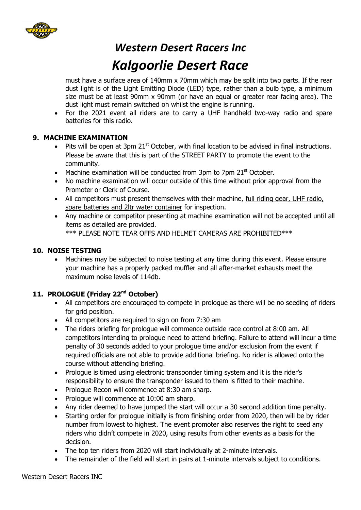

### *Western Desert Racers Inc*

### *Kalgoorlie Desert Race*

must have a surface area of 140mm x 70mm which may be split into two parts. If the rear dust light is of the Light Emitting Diode (LED) type, rather than a bulb type, a minimum size must be at least 90mm x 90mm (or have an equal or greater rear facing area). The dust light must remain switched on whilst the engine is running.

 For the 2021 event all riders are to carry a UHF handheld two-way radio and spare batteries for this radio.

#### **9. MACHINE EXAMINATION**

- $\bullet$  Pits will be open at 3pm 21<sup>st</sup> October, with final location to be advised in final instructions. Please be aware that this is part of the STREET PARTY to promote the event to the community.
- Machine examination will be conducted from 3pm to 7pm  $21<sup>st</sup>$  October.
- No machine examination will occur outside of this time without prior approval from the Promoter or Clerk of Course.
- All competitors must present themselves with their machine, full riding gear, UHF radio, spare batteries and 2ltr water container for inspection.
- Any machine or competitor presenting at machine examination will not be accepted until all items as detailed are provided. \*\*\* PLEASE NOTE TEAR OFFS AND HELMET CAMERAS ARE PROHIBITED\*\*\*

#### **10. NOISE TESTING**

• Machines may be subjected to noise testing at any time during this event. Please ensure your machine has a properly packed muffler and all after-market exhausts meet the maximum noise levels of 114db.

#### **11. PROLOGUE (Friday 22nd October)**

- All competitors are encouraged to compete in prologue as there will be no seeding of riders for grid position.
- All competitors are required to sign on from 7:30 am
- The riders briefing for prologue will commence outside race control at 8:00 am. All competitors intending to prologue need to attend briefing. Failure to attend will incur a time penalty of 30 seconds added to your prologue time and/or exclusion from the event if required officials are not able to provide additional briefing. No rider is allowed onto the course without attending briefing.
- Prologue is timed using electronic transponder timing system and it is the rider's responsibility to ensure the transponder issued to them is fitted to their machine.
- Prologue Recon will commence at 8:30 am sharp.
- Prologue will commence at 10:00 am sharp.
- Any rider deemed to have jumped the start will occur a 30 second addition time penalty.
- Starting order for prologue initially is from finishing order from 2020, then will be by rider number from lowest to highest. The event promoter also reserves the right to seed any riders who didn't compete in 2020, using results from other events as a basis for the decision.
- The top ten riders from 2020 will start individually at 2-minute intervals.
- The remainder of the field will start in pairs at 1-minute intervals subject to conditions.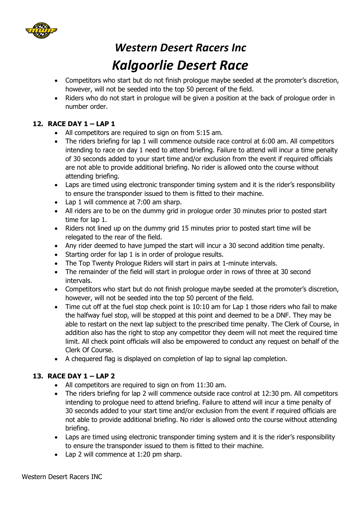

- Competitors who start but do not finish prologue maybe seeded at the promoter's discretion, however, will not be seeded into the top 50 percent of the field.
- Riders who do not start in prologue will be given a position at the back of prologue order in number order.

#### **12. RACE DAY 1 – LAP 1**

- All competitors are required to sign on from 5:15 am.
- The riders briefing for lap 1 will commence outside race control at 6:00 am. All competitors intending to race on day 1 need to attend briefing. Failure to attend will incur a time penalty of 30 seconds added to your start time and/or exclusion from the event if required officials are not able to provide additional briefing. No rider is allowed onto the course without attending briefing.
- Laps are timed using electronic transponder timing system and it is the rider's responsibility to ensure the transponder issued to them is fitted to their machine.
- Lap 1 will commence at 7:00 am sharp.
- All riders are to be on the dummy grid in prologue order 30 minutes prior to posted start time for lap 1.
- Riders not lined up on the dummy grid 15 minutes prior to posted start time will be relegated to the rear of the field.
- Any rider deemed to have jumped the start will incur a 30 second addition time penalty.
- Starting order for lap 1 is in order of prologue results.
- The Top Twenty Prologue Riders will start in pairs at 1-minute intervals.
- The remainder of the field will start in prologue order in rows of three at 30 second intervals.
- Competitors who start but do not finish prologue maybe seeded at the promoter's discretion, however, will not be seeded into the top 50 percent of the field.
- Time cut off at the fuel stop check point is 10:10 am for Lap 1 those riders who fail to make the halfway fuel stop, will be stopped at this point and deemed to be a DNF. They may be able to restart on the next lap subject to the prescribed time penalty. The Clerk of Course, in addition also has the right to stop any competitor they deem will not meet the required time limit. All check point officials will also be empowered to conduct any request on behalf of the Clerk Of Course.
- A chequered flag is displayed on completion of lap to signal lap completion.

#### **13. RACE DAY 1 – LAP 2**

- All competitors are required to sign on from 11:30 am.
- The riders briefing for lap 2 will commence outside race control at 12:30 pm. All competitors intending to prologue need to attend briefing. Failure to attend will incur a time penalty of 30 seconds added to your start time and/or exclusion from the event if required officials are not able to provide additional briefing. No rider is allowed onto the course without attending briefing.
- Laps are timed using electronic transponder timing system and it is the rider's responsibility to ensure the transponder issued to them is fitted to their machine.
- Lap 2 will commence at 1:20 pm sharp.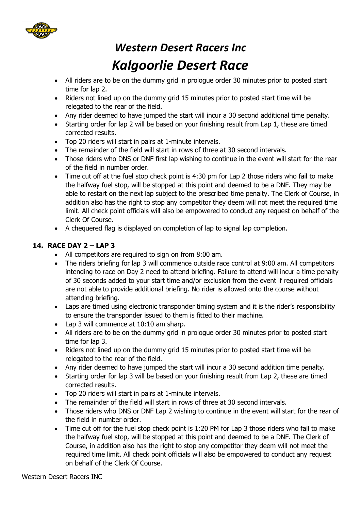

- All riders are to be on the dummy grid in prologue order 30 minutes prior to posted start time for lap 2.
- Riders not lined up on the dummy grid 15 minutes prior to posted start time will be relegated to the rear of the field.
- Any rider deemed to have jumped the start will incur a 30 second additional time penalty.
- Starting order for lap 2 will be based on your finishing result from Lap 1, these are timed corrected results.
- Top 20 riders will start in pairs at 1-minute intervals.
- The remainder of the field will start in rows of three at 30 second intervals.
- Those riders who DNS or DNF first lap wishing to continue in the event will start for the rear of the field in number order.
- Time cut off at the fuel stop check point is 4:30 pm for Lap 2 those riders who fail to make the halfway fuel stop, will be stopped at this point and deemed to be a DNF. They may be able to restart on the next lap subject to the prescribed time penalty. The Clerk of Course, in addition also has the right to stop any competitor they deem will not meet the required time limit. All check point officials will also be empowered to conduct any request on behalf of the Clerk Of Course.
- A chequered flag is displayed on completion of lap to signal lap completion.

#### **14. RACE DAY 2 – LAP 3**

- All competitors are required to sign on from 8:00 am.
- The riders briefing for lap 3 will commence outside race control at 9:00 am. All competitors intending to race on Day 2 need to attend briefing. Failure to attend will incur a time penalty of 30 seconds added to your start time and/or exclusion from the event if required officials are not able to provide additional briefing. No rider is allowed onto the course without attending briefing.
- Laps are timed using electronic transponder timing system and it is the rider's responsibility to ensure the transponder issued to them is fitted to their machine.
- Lap 3 will commence at 10:10 am sharp.
- All riders are to be on the dummy grid in prologue order 30 minutes prior to posted start time for lap 3.
- Riders not lined up on the dummy grid 15 minutes prior to posted start time will be relegated to the rear of the field.
- Any rider deemed to have jumped the start will incur a 30 second addition time penalty.
- Starting order for lap 3 will be based on your finishing result from Lap 2, these are timed corrected results.
- Top 20 riders will start in pairs at 1-minute intervals.
- The remainder of the field will start in rows of three at 30 second intervals.
- Those riders who DNS or DNF Lap 2 wishing to continue in the event will start for the rear of the field in number order.
- Time cut off for the fuel stop check point is 1:20 PM for Lap 3 those riders who fail to make the halfway fuel stop, will be stopped at this point and deemed to be a DNF. The Clerk of Course, in addition also has the right to stop any competitor they deem will not meet the required time limit. All check point officials will also be empowered to conduct any request on behalf of the Clerk Of Course.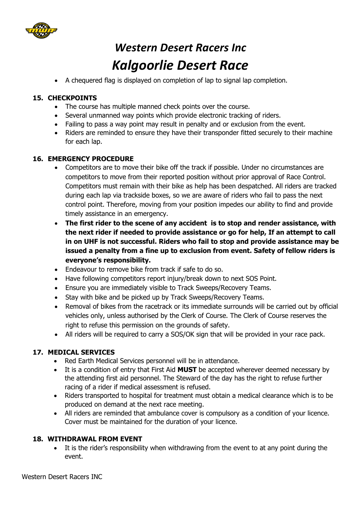

A chequered flag is displayed on completion of lap to signal lap completion.

#### **15. CHECKPOINTS**

- The course has multiple manned check points over the course.
- Several unmanned way points which provide electronic tracking of riders.
- Failing to pass a way point may result in penalty and or exclusion from the event.
- Riders are reminded to ensure they have their transponder fitted securely to their machine for each lap.

#### **16. EMERGENCY PROCEDURE**

- Competitors are to move their bike off the track if possible. Under no circumstances are competitors to move from their reported position without prior approval of Race Control. Competitors must remain with their bike as help has been despatched. All riders are tracked during each lap via trackside boxes, so we are aware of riders who fail to pass the next control point. Therefore, moving from your position impedes our ability to find and provide timely assistance in an emergency.
- **The first rider to the scene of any accident is to stop and render assistance, with the next rider if needed to provide assistance or go for help, If an attempt to call in on UHF is not successful. Riders who fail to stop and provide assistance may be issued a penalty from a fine up to exclusion from event. Safety of fellow riders is everyone's responsibility.**
- Endeavour to remove bike from track if safe to do so.
- Have following competitors report injury/break down to next SOS Point.
- Ensure you are immediately visible to Track Sweeps/Recovery Teams.
- Stay with bike and be picked up by Track Sweeps/Recovery Teams.
- Removal of bikes from the racetrack or its immediate surrounds will be carried out by official vehicles only, unless authorised by the Clerk of Course. The Clerk of Course reserves the right to refuse this permission on the grounds of safety.
- All riders will be required to carry a SOS/OK sign that will be provided in your race pack.

#### **17. MEDICAL SERVICES**

- Red Earth Medical Services personnel will be in attendance.
- It is a condition of entry that First Aid **MUST** be accepted wherever deemed necessary by the attending first aid personnel. The Steward of the day has the right to refuse further racing of a rider if medical assessment is refused.
- Riders transported to hospital for treatment must obtain a medical clearance which is to be produced on demand at the next race meeting.
- All riders are reminded that ambulance cover is compulsory as a condition of your licence. Cover must be maintained for the duration of your licence.

#### **18. WITHDRAWAL FROM EVENT**

 It is the rider's responsibility when withdrawing from the event to at any point during the event.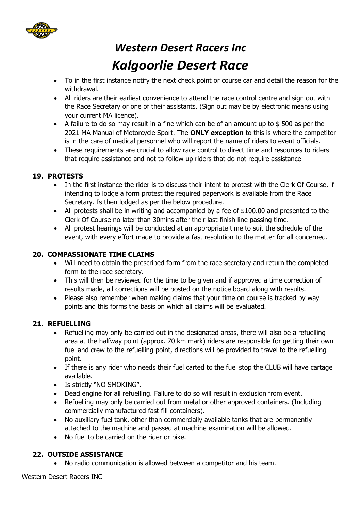

- To in the first instance notify the next check point or course car and detail the reason for the withdrawal.
- All riders are their earliest convenience to attend the race control centre and sign out with the Race Secretary or one of their assistants. (Sign out may be by electronic means using your current MA licence).
- A failure to do so may result in a fine which can be of an amount up to \$ 500 as per the 2021 MA Manual of Motorcycle Sport. The **ONLY exception** to this is where the competitor is in the care of medical personnel who will report the name of riders to event officials.
- These requirements are crucial to allow race control to direct time and resources to riders that require assistance and not to follow up riders that do not require assistance

#### **19. PROTESTS**

- In the first instance the rider is to discuss their intent to protest with the Clerk Of Course, if intending to lodge a form protest the required paperwork is available from the Race Secretary. Is then lodged as per the below procedure.
- All protests shall be in writing and accompanied by a fee of \$100.00 and presented to the Clerk Of Course no later than 30mins after their last finish line passing time.
- All protest hearings will be conducted at an appropriate time to suit the schedule of the event, with every effort made to provide a fast resolution to the matter for all concerned.

#### **20. COMPASSIONATE TIME CLAIMS**

- Will need to obtain the prescribed form from the race secretary and return the completed form to the race secretary.
- This will then be reviewed for the time to be given and if approved a time correction of results made, all corrections will be posted on the notice board along with results.
- Please also remember when making claims that your time on course is tracked by way points and this forms the basis on which all claims will be evaluated.

#### **21. REFUELLING**

- Refuelling may only be carried out in the designated areas, there will also be a refuelling area at the halfway point (approx. 70 km mark) riders are responsible for getting their own fuel and crew to the refuelling point, directions will be provided to travel to the refuelling point.
- If there is any rider who needs their fuel carted to the fuel stop the CLUB will have cartage available.
- Is strictly "NO SMOKING".
- Dead engine for all refuelling. Failure to do so will result in exclusion from event.
- Refuelling may only be carried out from metal or other approved containers. (Including commercially manufactured fast fill containers).
- No auxiliary fuel tank, other than commercially available tanks that are permanently attached to the machine and passed at machine examination will be allowed.
- No fuel to be carried on the rider or bike.

#### **22. OUTSIDE ASSISTANCE**

No radio communication is allowed between a competitor and his team.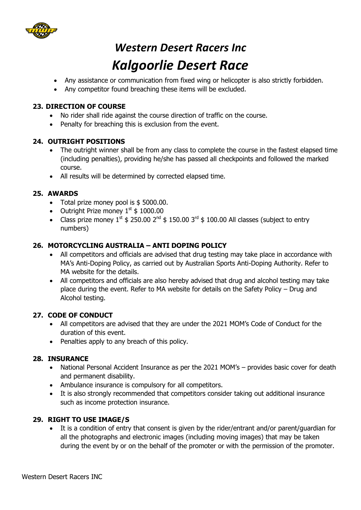

# *Western Desert Racers Inc*

### *Kalgoorlie Desert Race*

- Any assistance or communication from fixed wing or helicopter is also strictly forbidden.
- Any competitor found breaching these items will be excluded.

#### **23. DIRECTION OF COURSE**

- No rider shall ride against the course direction of traffic on the course.
- Penalty for breaching this is exclusion from the event.

#### **24. OUTRIGHT POSITIONS**

- The outright winner shall be from any class to complete the course in the fastest elapsed time (including penalties), providing he/she has passed all checkpoints and followed the marked course.
- All results will be determined by corrected elapsed time.

#### **25. AWARDS**

- Total prize money pool is \$5000.00.
- Outright Prize money  $1^{st}$  \$ 1000.00
- Class prize money  $1^{st}$  \$ 250.00  $2^{nd}$  \$ 150.00  $3^{rd}$  \$ 100.00 All classes (subject to entry numbers)

#### **26. MOTORCYCLING AUSTRALIA – ANTI DOPING POLICY**

- All competitors and officials are advised that drug testing may take place in accordance with MA's Anti-Doping Policy, as carried out by Australian Sports Anti-Doping Authority. Refer to MA website for the details.
- All competitors and officials are also hereby advised that drug and alcohol testing may take place during the event. Refer to MA website for details on the Safety Policy – Drug and Alcohol testing.

#### **27. CODE OF CONDUCT**

- All competitors are advised that they are under the 2021 MOM's Code of Conduct for the duration of this event.
- Penalties apply to any breach of this policy.

#### **28. INSURANCE**

- National Personal Accident Insurance as per the 2021 MOM's provides basic cover for death and permanent disability.
- Ambulance insurance is compulsory for all competitors.
- It is also strongly recommended that competitors consider taking out additional insurance such as income protection insurance.

#### **29. RIGHT TO USE IMAGE/S**

 It is a condition of entry that consent is given by the rider/entrant and/or parent/guardian for all the photographs and electronic images (including moving images) that may be taken during the event by or on the behalf of the promoter or with the permission of the promoter.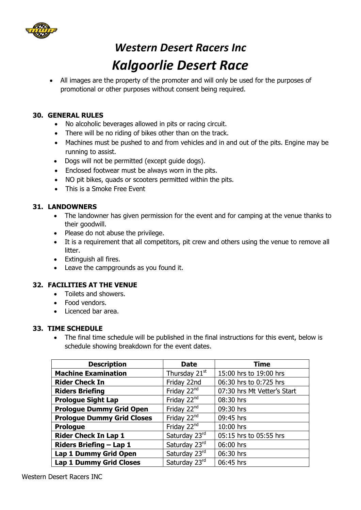

 All images are the property of the promoter and will only be used for the purposes of promotional or other purposes without consent being required.

#### **30. GENERAL RULES**

- No alcoholic beverages allowed in pits or racing circuit.
- There will be no riding of bikes other than on the track.
- Machines must be pushed to and from vehicles and in and out of the pits. Engine may be running to assist.
- Dogs will not be permitted (except guide dogs).
- Enclosed footwear must be always worn in the pits.
- NO pit bikes, quads or scooters permitted within the pits.
- This is a Smoke Free Event

#### **31. LANDOWNERS**

- The landowner has given permission for the event and for camping at the venue thanks to their goodwill.
- Please do not abuse the privilege.
- It is a requirement that all competitors, pit crew and others using the venue to remove all litter.
- Extinguish all fires.
- Leave the campgrounds as you found it.

#### **32. FACILITIES AT THE VENUE**

- Toilets and showers.
- Food vendors.
- Licenced bar area.

#### **33. TIME SCHEDULE**

• The final time schedule will be published in the final instructions for this event, below is schedule showing breakdown for the event dates.

| <b>Description</b>                | <b>Date</b>               | <b>Time</b>                 |
|-----------------------------------|---------------------------|-----------------------------|
| <b>Machine Examination</b>        | Thursday 21 <sup>st</sup> | 15:00 hrs to 19:00 hrs      |
| <b>Rider Check In</b>             | Friday 22nd               | 06:30 hrs to 0:725 hrs      |
| <b>Riders Briefing</b>            | Friday 22 <sup>nd</sup>   | 07:30 hrs Mt Vetter's Start |
| <b>Prologue Sight Lap</b>         | Friday 22 <sup>nd</sup>   | 08:30 hrs                   |
| <b>Prologue Dummy Grid Open</b>   | Friday 22 <sup>nd</sup>   | 09:30 hrs                   |
| <b>Prologue Dummy Grid Closes</b> | Friday 22 <sup>nd</sup>   | 09:45 hrs                   |
| <b>Prologue</b>                   | Friday 22 <sup>nd</sup>   | 10:00 hrs                   |
| <b>Rider Check In Lap 1</b>       | Saturday 23rd             | 05:15 hrs to 05:55 hrs      |
| <b>Riders Briefing - Lap 1</b>    | Saturday 23rd             | 06:00 hrs                   |
| Lap 1 Dummy Grid Open             | Saturday 23rd             | 06:30 hrs                   |
| <b>Lap 1 Dummy Grid Closes</b>    | Saturday 23rd             | 06:45 hrs                   |